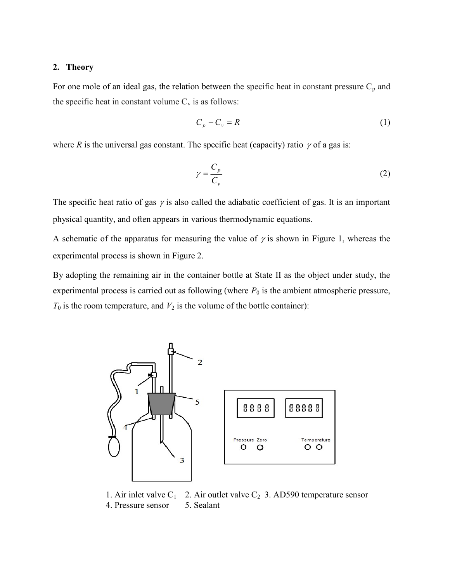## 2. Theory

For one mole of an ideal gas, the relation between the specific heat in constant pressure  $C_p$  and the specific heat in constant volume  $C_v$  is as follows:

$$
C_p - C_v = R \tag{1}
$$

where R is the universal gas constant. The specific heat (capacity) ratio  $\gamma$  of a gas is:

$$
\gamma = \frac{C_p}{C_v} \tag{2}
$$

The specific heat ratio of gas  $\gamma$  is also called the adiabatic coefficient of gas. It is an important physical quantity, and often appears in various thermodynamic equations.

A schematic of the apparatus for measuring the value of  $\gamma$  is shown in Figure 1, whereas the experimental process is shown in Figure 2.

By adopting the remaining air in the container bottle at State II as the object under study, the experimental process is carried out as following (where  $P_0$  is the ambient atmospheric pressure,  $T_0$  is the room temperature, and  $V_2$  is the volume of the bottle container):



1. Air inlet valve  $C_1$  2. Air outlet valve  $C_2$  3. AD590 temperature sensor 4. Pressure sensor 5. Sealant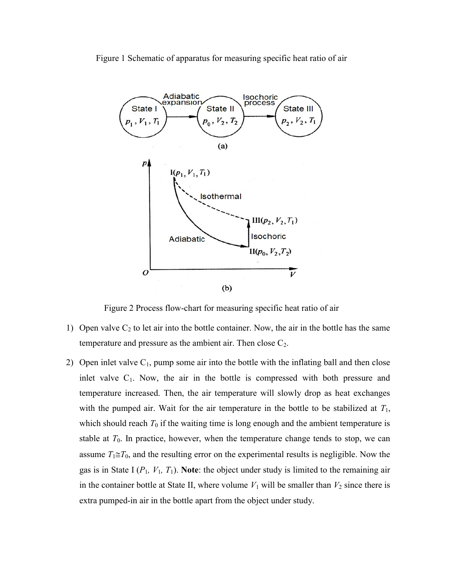



Figure 2 Process flow-chart for measuring specific heat ratio of air

- 1) Open valve  $C_2$  to let air into the bottle container. Now, the air in the bottle has the same temperature and pressure as the ambient air. Then close  $C_2$ .
- 2) Open inlet valve  $C_1$ , pump some air into the bottle with the inflating ball and then close inlet valve  $C_1$ . Now, the air in the bottle is compressed with both pressure and temperature increased. Then, the air temperature will slowly drop as heat exchanges with the pumped air. Wait for the air temperature in the bottle to be stabilized at  $T_1$ , which should reach  $T_0$  if the waiting time is long enough and the ambient temperature is stable at  $T_0$ . In practice, however, when the temperature change tends to stop, we can assume  $T_1 \cong T_0$ , and the resulting error on the experimental results is negligible. Now the gas is in State I ( $P_1$ ,  $V_1$ ,  $T_1$ ). Note: the object under study is limited to the remaining air in the container bottle at State II, where volume  $V_1$  will be smaller than  $V_2$  since there is extra pumped-in air in the bottle apart from the object under study.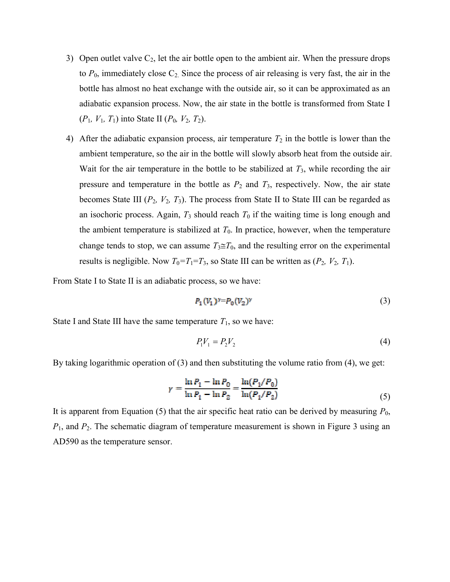- 3) Open outlet valve  $C_2$ , let the air bottle open to the ambient air. When the pressure drops to  $P_0$ , immediately close  $C_2$ . Since the process of air releasing is very fast, the air in the bottle has almost no heat exchange with the outside air, so it can be approximated as an adiabatic expansion process. Now, the air state in the bottle is transformed from State I  $(P_1, V_1, T_1)$  into State II  $(P_0, V_2, T_2)$ .
- 4) After the adiabatic expansion process, air temperature  $T_2$  in the bottle is lower than the ambient temperature, so the air in the bottle will slowly absorb heat from the outside air. Wait for the air temperature in the bottle to be stabilized at  $T_3$ , while recording the air pressure and temperature in the bottle as  $P_2$  and  $T_3$ , respectively. Now, the air state becomes State III  $(P_2, V_2, T_3)$ . The process from State II to State III can be regarded as an isochoric process. Again,  $T_3$  should reach  $T_0$  if the waiting time is long enough and the ambient temperature is stabilized at  $T_0$ . In practice, however, when the temperature change tends to stop, we can assume  $T_3 \cong T_0$ , and the resulting error on the experimental results is negligible. Now  $T_0 = T_1 = T_3$ , so State III can be written as  $(P_2, V_2, T_1)$ .

From State I to State II is an adiabatic process, so we have:

$$
P_1(V_1)^{\gamma} = P_0(V_2)^{\gamma} \tag{3}
$$

State I and State III have the same temperature  $T_1$ , so we have:

$$
P_1V_1 = P_2V_2 \tag{4}
$$

By taking logarithmic operation of (3) and then substituting the volume ratio from (4), we get:

$$
\gamma = \frac{\ln P_1 - \ln P_0}{\ln P_1 - \ln P_2} = \frac{\ln(P_1/P_0)}{\ln(P_1/P_2)}\tag{5}
$$

It is apparent from Equation (5) that the air specific heat ratio can be derived by measuring  $P_0$ ,  $P_1$ , and  $P_2$ . The schematic diagram of temperature measurement is shown in Figure 3 using an AD590 as the temperature sensor.